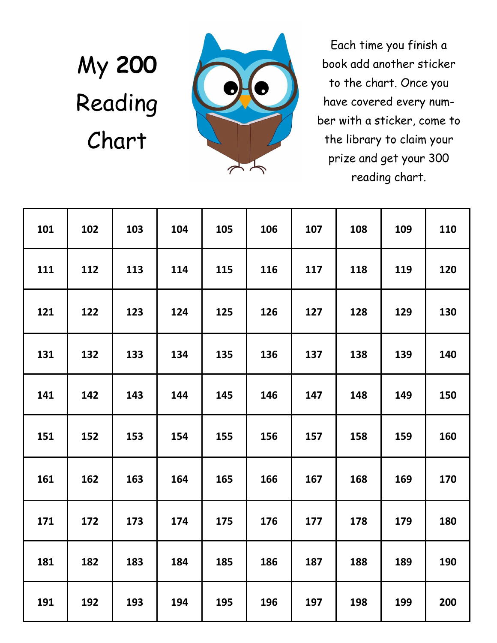My **200**  Reading Chart



Each time you finish a book add another sticker to the chart. Once you have covered every number with a sticker, come to the library to claim your prize and get your 300 reading chart.

| 101 | 102 | 103 | 104 | 105 | 106 | 107 | 108 | 109 | 110 |
|-----|-----|-----|-----|-----|-----|-----|-----|-----|-----|
| 111 | 112 | 113 | 114 | 115 | 116 | 117 | 118 | 119 | 120 |
| 121 | 122 | 123 | 124 | 125 | 126 | 127 | 128 | 129 | 130 |
| 131 | 132 | 133 | 134 | 135 | 136 | 137 | 138 | 139 | 140 |
| 141 | 142 | 143 | 144 | 145 | 146 | 147 | 148 | 149 | 150 |
| 151 | 152 | 153 | 154 | 155 | 156 | 157 | 158 | 159 | 160 |
| 161 | 162 | 163 | 164 | 165 | 166 | 167 | 168 | 169 | 170 |
| 171 | 172 | 173 | 174 | 175 | 176 | 177 | 178 | 179 | 180 |
| 181 | 182 | 183 | 184 | 185 | 186 | 187 | 188 | 189 | 190 |
| 191 | 192 | 193 | 194 | 195 | 196 | 197 | 198 | 199 | 200 |